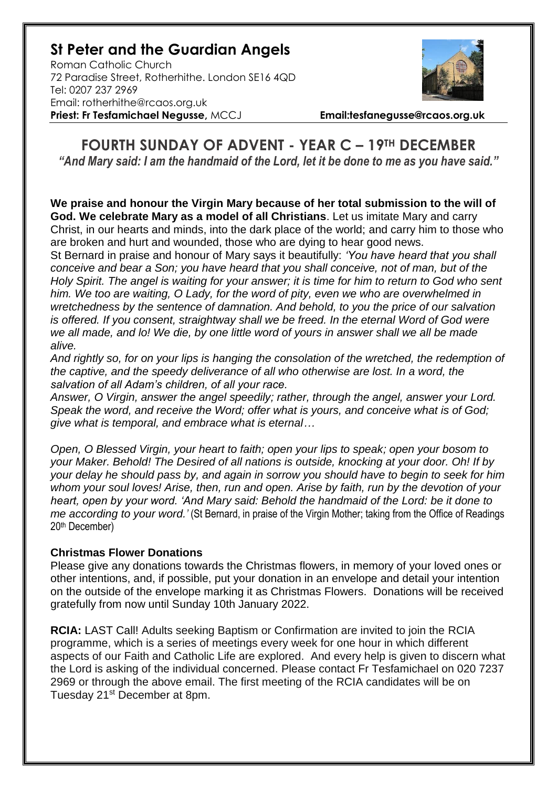## **St Peter and the Guardian Angels**

Roman Catholic Church 72 Paradise Street, Rotherhithe. London SE16 4QD [Tel: 0207](tel:0207) 237 2969 Email: rotherhithe@rcaos.org.uk **Priest: Fr Tesfamichael Negusse,** MCCJ **Email:tesfanegusse@rcaos.org.uk**



**FOURTH SUNDAY OF ADVENT - YEAR C – 19TH DECEMBER**  *"And Mary said: I am the handmaid of the Lord, let it be done to me as you have said."* 

**We praise and honour the Virgin Mary because of her total submission to the will of God. We celebrate Mary as a model of all Christians**. Let us imitate Mary and carry Christ, in our hearts and minds, into the dark place of the world; and carry him to those who are broken and hurt and wounded, those who are dying to hear good news.

St Bernard in praise and honour of Mary says it beautifully: *'You have heard that you shall conceive and bear a Son; you have heard that you shall conceive, not of man, but of the Holy Spirit. The angel is waiting for your answer; it is time for him to return to God who sent him. We too are waiting, O Lady, for the word of pity, even we who are overwhelmed in wretchedness by the sentence of damnation. And behold, to you the price of our salvation is offered. If you consent, straightway shall we be freed. In the eternal Word of God were we all made, and lo! We die, by one little word of yours in answer shall we all be made alive.* 

*And rightly so, for on your lips is hanging the consolation of the wretched, the redemption of the captive, and the speedy deliverance of all who otherwise are lost. In a word, the salvation of all Adam's children, of all your race.* 

*Answer, O Virgin, answer the angel speedily; rather, through the angel, answer your Lord. Speak the word, and receive the Word; offer what is yours, and conceive what is of God; give what is temporal, and embrace what is eternal…*

*Open, O Blessed Virgin, your heart to faith; open your lips to speak; open your bosom to your Maker. Behold! The Desired of all nations is outside, knocking at your door. Oh! If by your delay he should pass by, and again in sorrow you should have to begin to seek for him whom your soul loves! Arise, then, run and open. Arise by faith, run by the devotion of your heart, open by your word. 'And Mary said: Behold the handmaid of the Lord: be it done to me according to your word.'* (St Bernard, in praise of the Virgin Mother; taking from the Office of Readings 20th December)

## **Christmas Flower Donations**

Please give any donations towards the Christmas flowers, in memory of your loved ones or other intentions, and, if possible, put your donation in an envelope and detail your intention on the outside of the envelope marking it as Christmas Flowers. Donations will be received gratefully from now until Sunday 10th January 2022.

**RCIA:** LAST Call! Adults seeking Baptism or Confirmation are invited to join the RCIA programme, which is a series of meetings every week for one hour in which different aspects of our Faith and Catholic Life are explored. And every help is given to discern what the Lord is asking of the individual concerned. Please contact Fr Tesfamichael on 020 7237 2969 or through the above email. The first meeting of the RCIA candidates will be on Tuesday 21st December at 8pm.